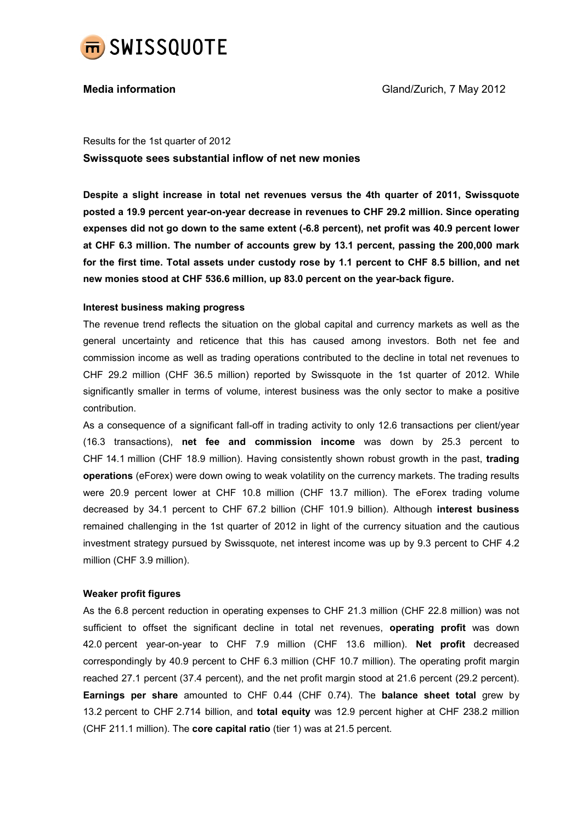

Results for the 1st quarter of 2012 Swissquote sees substantial inflow of net new monies

Despite a slight increase in total net revenues versus the 4th quarter of 2011, Swissquote posted a 19.9 percent year-on-year decrease in revenues to CHF 29.2 million. Since operating expenses did not go down to the same extent (-6.8 percent), net profit was 40.9 percent lower at CHF 6.3 million. The number of accounts grew by 13.1 percent, passing the 200,000 mark for the first time. Total assets under custody rose by 1.1 percent to CHF 8.5 billion, and net new monies stood at CHF 536.6 million, up 83.0 percent on the year-back figure.

# Interest business making progress

The revenue trend reflects the situation on the global capital and currency markets as well as the general uncertainty and reticence that this has caused among investors. Both net fee and commission income as well as trading operations contributed to the decline in total net revenues to CHF 29.2 million (CHF 36.5 million) reported by Swissquote in the 1st quarter of 2012. While significantly smaller in terms of volume, interest business was the only sector to make a positive contribution.

As a consequence of a significant fall-off in trading activity to only 12.6 transactions per client/year (16.3 transactions), net fee and commission income was down by 25.3 percent to CHF 14.1 million (CHF 18.9 million). Having consistently shown robust growth in the past, trading operations (eForex) were down owing to weak volatility on the currency markets. The trading results were 20.9 percent lower at CHF 10.8 million (CHF 13.7 million). The eForex trading volume decreased by 34.1 percent to CHF 67.2 billion (CHF 101.9 billion). Although interest business remained challenging in the 1st quarter of 2012 in light of the currency situation and the cautious investment strategy pursued by Swissquote, net interest income was up by 9.3 percent to CHF 4.2 million (CHF 3.9 million).

## Weaker profit figures

As the 6.8 percent reduction in operating expenses to CHF 21.3 million (CHF 22.8 million) was not sufficient to offset the significant decline in total net revenues, operating profit was down 42.0 percent year-on-year to CHF 7.9 million (CHF 13.6 million). Net profit decreased correspondingly by 40.9 percent to CHF 6.3 million (CHF 10.7 million). The operating profit margin reached 27.1 percent (37.4 percent), and the net profit margin stood at 21.6 percent (29.2 percent). Earnings per share amounted to CHF 0.44 (CHF 0.74). The balance sheet total grew by 13.2 percent to CHF 2.714 billion, and total equity was 12.9 percent higher at CHF 238.2 million (CHF 211.1 million). The core capital ratio (tier 1) was at 21.5 percent.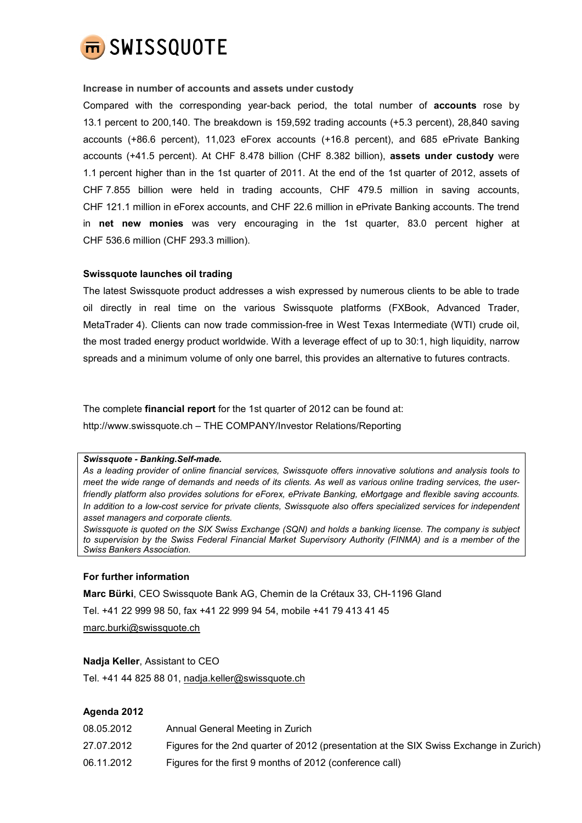

## Increase in number of accounts and assets under custody

Compared with the corresponding year-back period, the total number of accounts rose by 13.1 percent to 200,140. The breakdown is 159,592 trading accounts (+5.3 percent), 28,840 saving accounts (+86.6 percent), 11,023 eForex accounts (+16.8 percent), and 685 ePrivate Banking accounts (+41.5 percent). At CHF 8.478 billion (CHF 8.382 billion), assets under custody were 1.1 percent higher than in the 1st quarter of 2011. At the end of the 1st quarter of 2012, assets of CHF 7.855 billion were held in trading accounts, CHF 479.5 million in saving accounts, CHF 121.1 million in eForex accounts, and CHF 22.6 million in ePrivate Banking accounts. The trend in net new monies was very encouraging in the 1st quarter, 83.0 percent higher at CHF 536.6 million (CHF 293.3 million).

### Swissquote launches oil trading

The latest Swissquote product addresses a wish expressed by numerous clients to be able to trade oil directly in real time on the various Swissquote platforms (FXBook, Advanced Trader, MetaTrader 4). Clients can now trade commission-free in West Texas Intermediate (WTI) crude oil, the most traded energy product worldwide. With a leverage effect of up to 30:1, high liquidity, narrow spreads and a minimum volume of only one barrel, this provides an alternative to futures contracts.

The complete financial report for the 1st quarter of 2012 can be found at: http://www.swissquote.ch – THE COMPANY/Investor Relations/Reporting

#### Swissquote - Banking.Self-made.

As a leading provider of online financial services, Swissquote offers innovative solutions and analysis tools to meet the wide range of demands and needs of its clients. As well as various online trading services, the userfriendly platform also provides solutions for eForex, ePrivate Banking, eMortgage and flexible saving accounts. In addition to a low-cost service for private clients, Swissquote also offers specialized services for independent asset managers and corporate clients.

Swissquote is quoted on the SIX Swiss Exchange (SQN) and holds a banking license. The company is subject to supervision by the Swiss Federal Financial Market Supervisory Authority (FINMA) and is a member of the Swiss Bankers Association.

#### For further information

Marc Bürki, CEO Swissquote Bank AG, Chemin de la Crétaux 33, CH-1196 Gland Tel. +41 22 999 98 50, fax +41 22 999 94 54, mobile +41 79 413 41 45

marc.burki@swissquote.ch

#### Nadja Keller, Assistant to CEO

Tel. +41 44 825 88 01, nadja.keller@swissquote.ch

## Agenda 2012

| 08.05.2012 | Annual General Meeting in Zurich                                                       |
|------------|----------------------------------------------------------------------------------------|
| 27.07.2012 | Figures for the 2nd quarter of 2012 (presentation at the SIX Swiss Exchange in Zurich) |
| 06.11.2012 | Figures for the first 9 months of 2012 (conference call)                               |